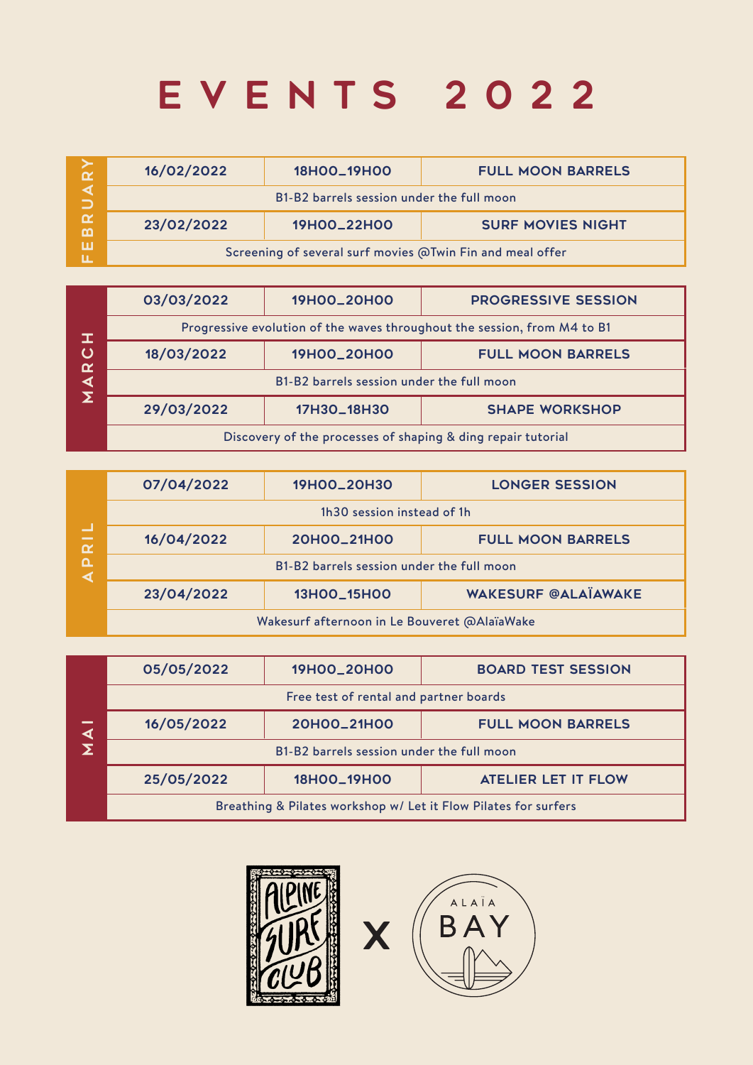## EVENTS 2022

| $\alpha$                 | 16/02/2022 | 18H00_19H00                                               | <b>FULL MOON BARRELS</b> |
|--------------------------|------------|-----------------------------------------------------------|--------------------------|
|                          |            | B1-B2 barrels session under the full moon                 |                          |
| $\alpha$<br>$\mathbf{m}$ | 23/02/2022 | 19H00_22H00                                               | <b>SURF MOVIES NIGHT</b> |
| ш                        |            | Screening of several surf movies @Twin Fin and meal offer |                          |

| $\mathbf{I}$<br>$\mathbf C$<br>$\alpha$ | 03/03/2022                                                               | 19H00_20H00 | <b>PROGRESSIVE SESSION</b> |  |  |
|-----------------------------------------|--------------------------------------------------------------------------|-------------|----------------------------|--|--|
|                                         | Progressive evolution of the waves throughout the session, from M4 to B1 |             |                            |  |  |
|                                         | 18/03/2022                                                               | 19H00_20H00 | <b>FULL MOON BARRELS</b>   |  |  |
|                                         | B1-B2 barrels session under the full moon                                |             |                            |  |  |
|                                         | 29/03/2022                                                               | 17H3O_18H3O | <b>SHAPE WORKSHOP</b>      |  |  |
|                                         | Discovery of the processes of shaping & ding repair tutorial             |             |                            |  |  |

| 딭<br>$\alpha$                | 07/04/2022                                   | 19H00_20H30 | <b>LONGER SESSION</b>      |  |
|------------------------------|----------------------------------------------|-------------|----------------------------|--|
|                              | 1h30 session instead of 1h                   |             |                            |  |
|                              | 16/04/2022                                   | 20H00_21H00 | <b>FULL MOON BARRELS</b>   |  |
| $\pmb{\mathsf{\Omega}}$<br>∢ | B1-B2 barrels session under the full moon    |             |                            |  |
|                              | 23/04/2022                                   | 13H00_15H00 | <b>WAKESURF @ALAÏAWAKE</b> |  |
|                              | Wakesurf afternoon in Le Bouveret @AlaïaWake |             |                            |  |
|                              |                                              |             |                            |  |
|                              | 05/05/2022                                   | 19H00_20H00 | <b>BOARD TEST SESSION</b>  |  |
|                              | Free test of rental and partner boards       |             |                            |  |
| $\blacktriangleleft$         | 16/05/2022                                   | 20H00_21H00 | <b>FULL MOON BARRELS</b>   |  |
|                              | B1-B2 barrels session under the full moon    |             |                            |  |

| $\frac{\mathbf{1}}{\mathbf{\Sigma}}$ | 05/05/2022                                                      | 19H00_20H00 | <b>BOARD TEST SESSION</b>  |  |  |
|--------------------------------------|-----------------------------------------------------------------|-------------|----------------------------|--|--|
|                                      | Free test of rental and partner boards                          |             |                            |  |  |
|                                      | 16/05/2022                                                      | 20H00_21H00 | <b>FULL MOON BARRELS</b>   |  |  |
|                                      | B1-B2 barrels session under the full moon                       |             |                            |  |  |
|                                      | 25/05/2022                                                      | 18H00_19H00 | <b>ATELIER LET IT FLOW</b> |  |  |
|                                      | Breathing & Pilates workshop w/ Let it Flow Pilates for surfers |             |                            |  |  |



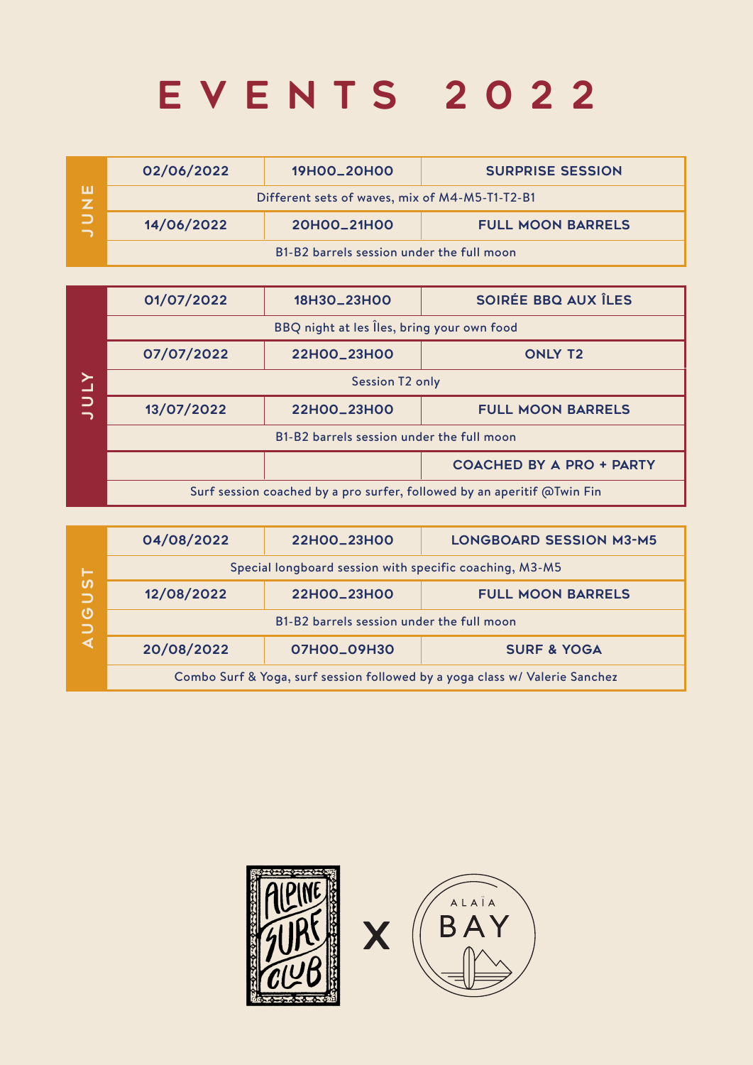## EVENTS 2022

| ш | 02/06/2022                                     | 19HOO_20HOO                               | <b>SURPRISE SESSION</b>  |  |  |
|---|------------------------------------------------|-------------------------------------------|--------------------------|--|--|
|   | Different sets of waves, mix of M4-M5-T1-T2-B1 |                                           |                          |  |  |
|   | 14/06/2022                                     | 20H00_21H00                               | <b>FULL MOON BARRELS</b> |  |  |
|   |                                                | B1-B2 barrels session under the full moon |                          |  |  |

|        | 01/07/2022                                                              | 18H3O_23H0O | SOIRÉE BBQ AUX ÎLES             |  |
|--------|-------------------------------------------------------------------------|-------------|---------------------------------|--|
|        | BBQ night at les lles, bring your own food                              |             |                                 |  |
|        | 07/07/2022                                                              | 22H00_23H00 | <b>ONLY T2</b>                  |  |
| $\geq$ | <b>Session T2 only</b>                                                  |             |                                 |  |
| $\Box$ | 13/07/2022                                                              | 22H00_23H00 | <b>FULL MOON BARRELS</b>        |  |
|        | B1-B2 barrels session under the full moon                               |             |                                 |  |
|        |                                                                         |             | <b>COACHED BY A PRO + PARTY</b> |  |
|        | Surf session coached by a pro surfer, followed by an aperitif @Twin Fin |             |                                 |  |

| ►<br><b>S</b><br>$\Box$<br>$\boldsymbol{\mathsf{O}}$<br>$\Box$ | 04/08/2022                                                                  | 22H00_23H00 | <b>LONGBOARD SESSION M3-M5</b> |  |  |
|----------------------------------------------------------------|-----------------------------------------------------------------------------|-------------|--------------------------------|--|--|
|                                                                | Special longboard session with specific coaching, M3-M5                     |             |                                |  |  |
|                                                                | 12/08/2022                                                                  | 22H00_23H00 | <b>FULL MOON BARRELS</b>       |  |  |
|                                                                | B1-B2 barrels session under the full moon                                   |             |                                |  |  |
|                                                                | 20/08/2022                                                                  | 07H00_09H30 | <b>SURF &amp; YOGA</b>         |  |  |
|                                                                | Combo Surf & Yoga, surf session followed by a yoga class w/ Valerie Sanchez |             |                                |  |  |